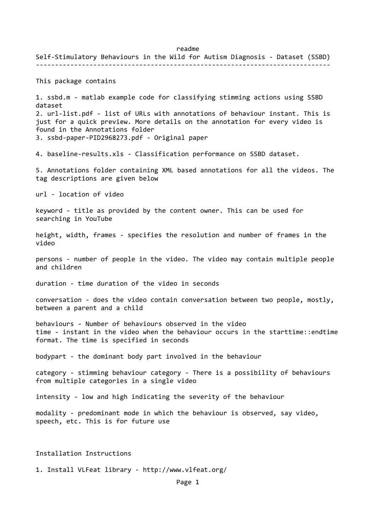readme Self‐Stimulatory Behaviours in the Wild for Autism Diagnosis ‐ Dataset (SSBD) ‐‐‐‐‐‐‐‐‐‐‐‐‐‐‐‐‐‐‐‐‐‐‐‐‐‐‐‐‐‐‐‐‐‐‐‐‐‐‐‐‐‐‐‐‐‐‐‐‐‐‐‐‐‐‐‐‐‐‐‐‐‐‐‐‐‐‐‐‐‐‐‐‐‐‐‐‐ This package contains 1. ssbd.m ‐ matlab example code for classifying stimming actions using SSBD dataset 2. url‐list.pdf ‐ list of URLs with annotations of behaviour instant. This is just for a quick preview. More details on the annotation for every video is found in the Annotations folder 3. ssbd‐paper‐PID2968273.pdf ‐ Original paper 4. baseline-results.xls - Classification performance on SSBD dataset. 5. Annotations folder containing XML based annotations for all the videos. The tag descriptions are given below url ‐ location of video keyword ‐ title as provided by the content owner. This can be used for searching in YouTube height, width, frames ‐ specifies the resolution and number of frames in the video persons ‐ number of people in the video. The video may contain multiple people and children duration ‐ time duration of the video in seconds conversation ‐ does the video contain conversation between two people, mostly, between a parent and a child behaviours ‐ Number of behaviours observed in the video time ‐ instant in the video when the behaviour occurs in the starttime::endtime format. The time is specified in seconds bodypart ‐ the dominant body part involved in the behaviour category ‐ stimming behaviour category ‐ There is a possibility of behaviours from multiple categories in a single video intensity ‐ low and high indicating the severity of the behaviour modality ‐ predominant mode in which the behaviour is observed, say video, speech, etc. This is for future use Installation Instructions

1. Install VLFeat library ‐ http://www.vlfeat.org/